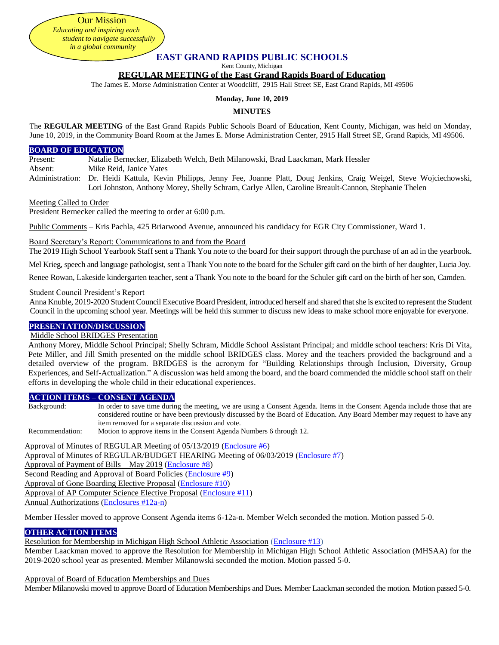# **EAST GRAND RAPIDS PUBLIC SCHOOLS**

Kent County, Michigan

#### **REGULAR MEETING of the East Grand Rapids Board of Education**

The James E. Morse Administration Center at Woodcliff, 2915 Hall Street SE, East Grand Rapids, MI 49506

#### **Monday, June 10, 2019**

#### **MINUTES**

The **REGULAR MEETING** of the East Grand Rapids Public Schools Board of Education, Kent County, Michigan, was held on Monday, June 10, 2019, in the Community Board Room at the James E. Morse Administration Center, 2915 Hall Street SE, Grand Rapids, MI 49506.

#### **BOARD OF EDUCATION**

Present: Natalie Bernecker, Elizabeth Welch, Beth Milanowski, Brad Laackman, Mark Hessler

Absent: Mike Reid, Janice Yates

Administration: Dr. Heidi Kattula, Kevin Philipps, Jenny Fee, Joanne Platt, Doug Jenkins, Craig Weigel, Steve Wojciechowski, Lori Johnston, Anthony Morey, Shelly Schram, Carlye Allen, Caroline Breault-Cannon, Stephanie Thelen

#### Meeting Called to Order

President Bernecker called the meeting to order at 6:00 p.m.

Public Comments – Kris Pachla, 425 Briarwood Avenue, announced his candidacy for EGR City Commissioner, Ward 1.

#### Board Secretary's Report: Communications to and from the Board

The 2019 High School Yearbook Staff sent a Thank You note to the board for their support through the purchase of an ad in the yearbook.

Mel Krieg, speech and language pathologist, sent a Thank You note to the board for the Schuler gift card on the birth of her daughter, Lucia Joy.

Renee Rowan, Lakeside kindergarten teacher, sent a Thank You note to the board for the Schuler gift card on the birth of her son, Camden.

#### Student Council President's Report

Anna Knuble, 2019-2020 Student Council Executive Board President, introduced herself and shared that she is excited to represent the Student Council in the upcoming school year. Meetings will be held this summer to discuss new ideas to make school more enjoyable for everyone.

### **PRESENTATION/DISCUSSION**

### Middle School BRIDGES Presentation

Anthony Morey, Middle School Principal; Shelly Schram, Middle School Assistant Principal; and middle school teachers: Kris Di Vita, Pete Miller, and Jill Smith presented on the middle school BRIDGES class. Morey and the teachers provided the background and a detailed overview of the program. BRIDGES is the acronym for "Building Relationships through Inclusion, Diversity, Group Experiences, and Self-Actualization." A discussion was held among the board, and the board commended the middle school staff on their efforts in developing the whole child in their educational experiences.

#### **ACTION ITEMS – CONSENT AGENDA**

Background: In order to save time during the meeting, we are using a Consent Agenda. Items in the Consent Agenda include those that are considered routine or have been previously discussed by the Board of Education. Any Board Member may request to have any item removed for a separate discussion and vote.

Recommendation: Motion to approve items in the Consent Agenda Numbers 6 through 12.

Approval of Minutes of REGULAR Meeting of 05/13/2019 [\(Enclosure #6\)](https://drive.google.com/file/d/11u9U2cfmcxJ-n9r9phYDFF14kLXDbNJs/view?usp=sharing) Approval of Minutes of REGULAR/BUDGET HEARING Meeting of 06/03/2019 [\(Enclosure #7\)](https://drive.google.com/file/d/12W0OGBsh5KBQjpfqMrKjgV1rtJ919VpY/view?usp=sharing) Approval of Payment of Bills – May 2019 [\(Enclosure #8\)](https://drive.google.com/file/d/12i0VrLuJEGd-KvaveQbHT9mWTqJ0Xl2x/view?usp=sharing) Second Reading and Approval of Board Policies [\(Enclosure #9\)](https://drive.google.com/file/d/11wAcBXdJw0OAhJRlO0fLmHmSgi-lmuJY/view?usp=sharing) Approval of Gone Boarding Elective Proposal [\(Enclosure #10\)](https://drive.google.com/file/d/11y1p87pRaQxCjjwQVF35TtTGa_MsAjho/view?usp=sharing) Approval of AP Computer Science Elective Proposal [\(Enclosure #11\)](https://drive.google.com/file/d/128Sd72TGgwoyIfdI-7WShSOYNBG_Dnr9/view?usp=sharing) Annual Authorizations [\(Enclosures #12a-n\)](https://drive.google.com/file/d/12GWLIMdUqs-KecQjcp5v68sMfXcX3sva/view?usp=sharing)

Member Hessler moved to approve Consent Agenda items 6-12a-n. Member Welch seconded the motion. Motion passed 5-0.

### **OTHER ACTION ITEMS**

#### Resolution for Membership in Michigan High School Athletic Association [\(Enclosure #13\)](https://drive.google.com/file/d/11fSS3BAMpgCTBRhn1-SE1TNbQhSjPZwS/view?usp=sharing)

Member Laackman moved to approve the Resolution for Membership in Michigan High School Athletic Association (MHSAA) for the 2019-2020 school year as presented. Member Milanowski seconded the motion. Motion passed 5-0.

### Approval of Board of Education Memberships and Dues

Member Milanowski moved to approve Board of Education Memberships and Dues. Member Laackman seconded the motion. Motion passed 5-0.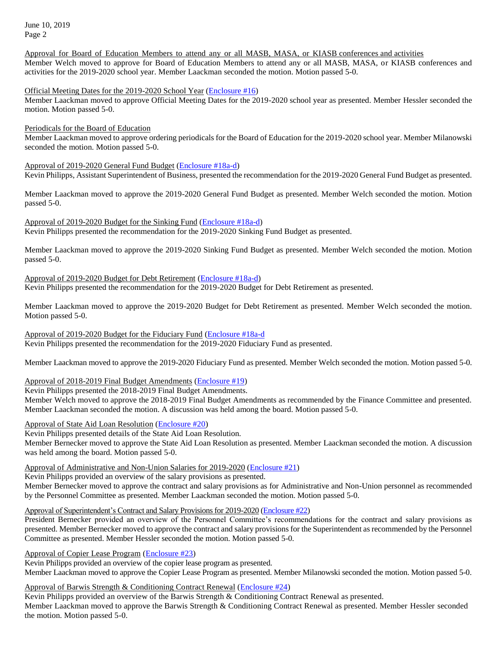June 10, 2019 Page 2

Approval for Board of Education Members to attend any or all MASB, MASA, or KIASB conferences and activities Member Welch moved to approve for Board of Education Members to attend any or all MASB, MASA, or KIASB conferences and activities for the 2019-2020 school year. Member Laackman seconded the motion. Motion passed 5-0.

#### Official Meeting Dates for the 2019-2020 School Year [\(Enclosure #16\)](https://drive.google.com/file/d/11a6OqXSD4CDg7hRRW-oeDPj1Ck0ZyF7r/view?usp=sharing)

Member Laackman moved to approve Official Meeting Dates for the 2019-2020 school year as presented. Member Hessler seconded the motion. Motion passed 5-0.

### Periodicals for the Board of Education

Member Laackman moved to approve ordering periodicals for the Board of Education for the 2019-2020 school year. Member Milanowski seconded the motion. Motion passed 5-0.

Approval of 2019-2020 General Fund Budget [\(Enclosure #18a-d\)](https://drive.google.com/file/d/119Cg0f8O6gHILQY4bvzl01YjKIV03DYI/view?usp=sharing)

Kevin Philipps, Assistant Superintendent of Business, presented the recommendation for the 2019-2020 General Fund Budget as presented.

Member Laackman moved to approve the 2019-2020 General Fund Budget as presented. Member Welch seconded the motion. Motion passed 5-0.

Approval of 2019-2020 Budget for the Sinking Fund [\(Enclosure #18a-d\)](https://drive.google.com/file/d/119Cg0f8O6gHILQY4bvzl01YjKIV03DYI/view?usp=sharing) Kevin Philipps presented the recommendation for the 2019-2020 Sinking Fund Budget as presented.

Member Laackman moved to approve the 2019-2020 Sinking Fund Budget as presented. Member Welch seconded the motion. Motion passed 5-0.

Approval of 2019-2020 Budget for Debt Retirement [\(Enclosure #18a-d\)](https://drive.google.com/file/d/119Cg0f8O6gHILQY4bvzl01YjKIV03DYI/view?usp=sharing)

Kevin Philipps presented the recommendation for the 2019-2020 Budget for Debt Retirement as presented.

Member Laackman moved to approve the 2019-2020 Budget for Debt Retirement as presented. Member Welch seconded the motion. Motion passed 5-0.

Approval of 2019-2020 Budget for the Fiduciary Fund [\(Enclosure #18a-d](https://drive.google.com/file/d/119Cg0f8O6gHILQY4bvzl01YjKIV03DYI/view?usp=sharing) Kevin Philipps presented the recommendation for the 2019-2020 Fiduciary Fund as presented.

Member Laackman moved to approve the 2019-2020 Fiduciary Fund as presented. Member Welch seconded the motion. Motion passed 5-0.

### Approval of 2018-2019 Final Budget Amendments [\(Enclosure #19\)](https://drive.google.com/file/d/11CGbcGvgSl7gpibE__UTJqVbfpRhZ8Ff/view?usp=sharing)

Kevin Philipps presented the 2018-2019 Final Budget Amendments.

Member Welch moved to approve the 2018-2019 Final Budget Amendments as recommended by the Finance Committee and presented. Member Laackman seconded the motion. A discussion was held among the board. Motion passed 5-0.

Approval of State Aid Loan Resolution [\(Enclosure #20\)](https://drive.google.com/file/d/11N_VOXHYDL-eKAbAw87GTG-X9NLrZILv/view?usp=sharing)

Kevin Philipps presented details of the State Aid Loan Resolution.

Member Bernecker moved to approve the State Aid Loan Resolution as presented. Member Laackman seconded the motion. A discussion was held among the board. Motion passed 5-0.

### Approval of Administrative and Non-Union Salaries for 2019-2020 [\(Enclosure #21\)](https://drive.google.com/file/d/12nwplrSPSAZA6LYec2AYTGPnliNndkFq/view?usp=sharing)

Kevin Philipps provided an overview of the salary provisions as presented.

Member Bernecker moved to approve the contract and salary provisions as for Administrative and Non-Union personnel as recommended by the Personnel Committee as presented. Member Laackman seconded the motion. Motion passed 5-0.

# Approval of Superintendent's Contract and Salary Provisions for 2019-2020 [\(Enclosure #22\)](https://drive.google.com/file/d/12U9blOJqvniARDEWIXnxInGwUCV0a3ts/view?usp=sharing)

President Bernecker provided an overview of the Personnel Committee's recommendations for the contract and salary provisions as presented. Member Bernecker moved to approve the contract and salary provisions for the Superintendent as recommended by the Personnel Committee as presented. Member Hessler seconded the motion. Motion passed 5-0.

Approval of Copier Lease Program [\(Enclosure #23\)](https://drive.google.com/file/d/11fpVrpU9WTc7WR4GXIUgdVpeAqKr_sII/view?usp=sharing)

Kevin Philipps provided an overview of the copier lease program as presented. Member Laackman moved to approve the Copier Lease Program as presented. Member Milanowski seconded the motion. Motion passed 5-0.

Approval of Barwis Strength & Conditioning Contract Renewal [\(Enclosure #24\)](https://drive.google.com/file/d/11kSV4aMnmnVMSRUXSBQG_oghQw5lpWDm/view?usp=sharing)

Kevin Philipps provided an overview of the Barwis Strength & Conditioning Contract Renewal as presented. Member Laackman moved to approve the Barwis Strength & Conditioning Contract Renewal as presented. Member Hessler seconded the motion. Motion passed 5-0.